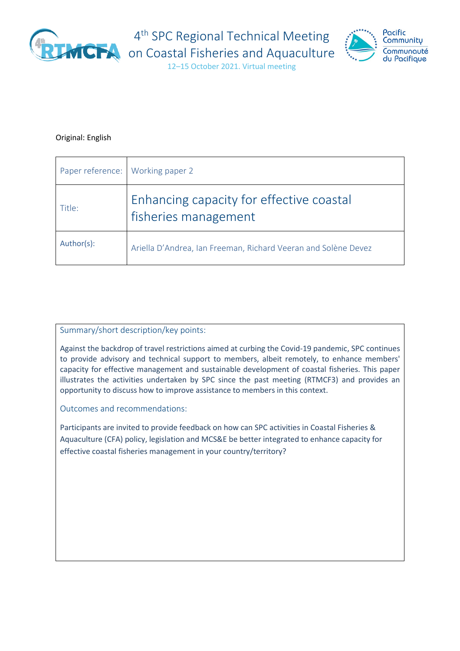

4<sup>th</sup> SPC Regional Technical Meeting



12–15 October 2021. Virtual meeting

#### Original: English

| Paper reference: Working paper 2 |                                                                  |
|----------------------------------|------------------------------------------------------------------|
| Title:                           | Enhancing capacity for effective coastal<br>fisheries management |
| Author(s):                       | Ariella D'Andrea, Ian Freeman, Richard Veeran and Solène Devez   |

#### Summary/short description/key points:

Against the backdrop of travel restrictions aimed at curbing the Covid-19 pandemic, SPC continues to provide advisory and technical support to members, albeit remotely, to enhance members' capacity for effective management and sustainable development of coastal fisheries. This paper illustrates the activities undertaken by SPC since the past meeting (RTMCF3) and provides an opportunity to discuss how to improve assistance to members in this context.

Outcomes and recommendations:

Participants are invited to provide feedback on how can SPC activities in Coastal Fisheries & Aquaculture (CFA) policy, legislation and MCS&E be better integrated to enhance capacity for effective coastal fisheries management in your country/territory?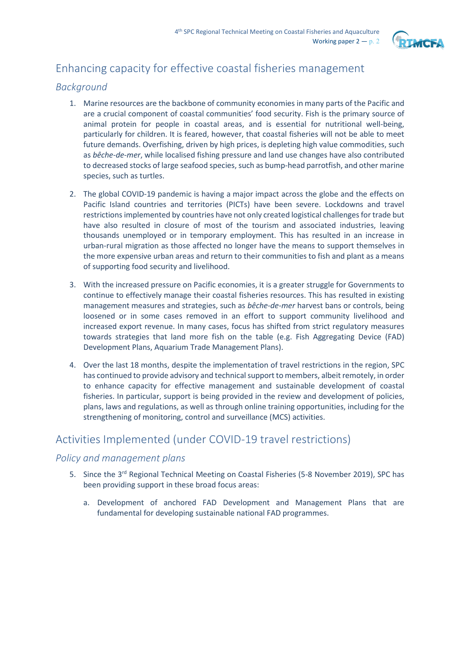

# Enhancing capacity for effective coastal fisheries management

### *Background*

- 1. Marine resources are the backbone of community economies in many parts of the Pacific and are a crucial component of coastal communities' food security. Fish is the primary source of animal protein for people in coastal areas, and is essential for nutritional well-being, particularly for children. It is feared, however, that coastal fisheries will not be able to meet future demands. Overfishing, driven by high prices, is depleting high value commodities, such as *bêche-de-mer*, while localised fishing pressure and land use changes have also contributed to decreased stocks of large seafood species, such as bump-head parrotfish, and other marine species, such as turtles.
- 2. The global COVID-19 pandemic is having a major impact across the globe and the effects on Pacific Island countries and territories (PICTs) have been severe. Lockdowns and travel restrictionsimplemented by countries have not only created logistical challenges for trade but have also resulted in closure of most of the tourism and associated industries, leaving thousands unemployed or in temporary employment. This has resulted in an increase in urban-rural migration as those affected no longer have the means to support themselves in the more expensive urban areas and return to their communities to fish and plant as a means of supporting food security and livelihood.
- 3. With the increased pressure on Pacific economies, it is a greater struggle for Governments to continue to effectively manage their coastal fisheries resources. This has resulted in existing management measures and strategies, such as *bêche-de-mer* harvest bans or controls, being loosened or in some cases removed in an effort to support community livelihood and increased export revenue. In many cases, focus has shifted from strict regulatory measures towards strategies that land more fish on the table (e.g. Fish Aggregating Device (FAD) Development Plans, Aquarium Trade Management Plans).
- 4. Over the last 18 months, despite the implementation of travel restrictions in the region, SPC has continued to provide advisory and technical support to members, albeit remotely, in order to enhance capacity for effective management and sustainable development of coastal fisheries. In particular, support is being provided in the review and development of policies, plans, laws and regulations, as well as through online training opportunities, including for the strengthening of monitoring, control and surveillance (MCS) activities.

# Activities Implemented (under COVID-19 travel restrictions)

### *Policy and management plans*

- 5. Since the 3<sup>rd</sup> Regional Technical Meeting on Coastal Fisheries (5-8 November 2019), SPC has been providing support in these broad focus areas:
	- a. Development of anchored FAD Development and Management Plans that are fundamental for developing sustainable national FAD programmes.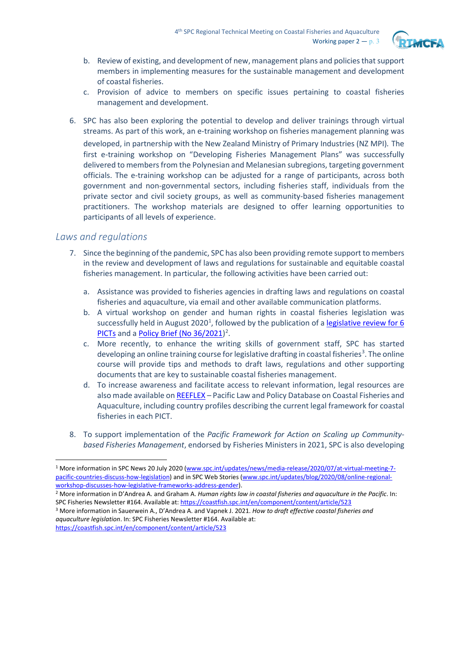

- b. Review of existing, and development of new, management plans and policiesthat support members in implementing measures for the sustainable management and development of coastal fisheries.
- c. Provision of advice to members on specific issues pertaining to coastal fisheries management and development.
- 6. SPC has also been exploring the potential to develop and deliver trainings through virtual streams. As part of this work, an e-training workshop on fisheries management planning was developed, in partnership with the New Zealand Ministry of Primary Industries (NZ MPI)*.* The first e-training workshop on "Developing Fisheries Management Plans" was successfully delivered to members from the Polynesian and Melanesian subregions, targeting government officials. The e-training workshop can be adjusted for a range of participants, across both government and non-governmental sectors, including fisheries staff, individuals from the private sector and civil society groups, as well as community-based fisheries management practitioners. The workshop materials are designed to offer learning opportunities to participants of all levels of experience.

#### *Laws and regulations*

- 7. Since the beginning of the pandemic, SPC has also been providing remote support to members in the review and development of laws and regulations for sustainable and equitable coastal fisheries management. In particular, the following activities have been carried out:
	- a. Assistance was provided to fisheries agencies in drafting laws and regulations on coastal fisheries and aquaculture, via email and other available communication platforms.
	- b. A virtual workshop on gender and human rights in coastal fisheries legislation was successfully held in August 2020<sup>[1](#page-2-0)</sup>, followed by the publication of a **legislative review for 6** [PICTs](http://purl.org/spc/digilib/doc/zz6mn) and [a Policy Brief \(No 36/2021\)](http://purl.org/spc/digilib/doc/z9dso)<sup>[2](#page-2-1)</sup>.
	- c. More recently, to enhance the writing skills of government staff, SPC has started developing an online training course for legislative drafting in coastal fisheries<sup>[3](#page-2-2)</sup>. The online course will provide tips and methods to draft laws, regulations and other supporting documents that are key to sustainable coastal fisheries management.
	- d. To increase awareness and facilitate access to relevant information, legal resources are also made available o[n REEFLEX](https://www.spc.int/CoastalFisheries/Legislation/main) – Pacific Law and Policy Database on Coastal Fisheries and Aquaculture, including country profiles describing the current legal framework for coastal fisheries in each PICT.
- 8. To support implementation of the *Pacific Framework for Action on Scaling up Communitybased Fisheries Management*, endorsed by Fisheries Ministers in 2021, SPC is also developing

<https://coastfish.spc.int/en/component/content/article/523>

<span id="page-2-0"></span><sup>&</sup>lt;sup>1</sup> More information in SPC News 20 July 2020 [\(www.spc.int/updates/news/media-release/2020/07/at-virtual-meeting-7](http://www.spc.int/updates/news/media-release/2020/07/at-virtual-meeting-7-pacific-countries-discuss-how-legislation) [pacific-countries-discuss-how-legislation\)](http://www.spc.int/updates/news/media-release/2020/07/at-virtual-meeting-7-pacific-countries-discuss-how-legislation) and in SPC Web Stories [\(www.spc.int/updates/blog/2020/08/online-regional-](http://www.spc.int/updates/blog/2020/08/online-regional-workshop-discusses-how-legislative-frameworks-address-gender)

<span id="page-2-1"></span>[workshop-discusses-how-legislative-frameworks-address-gender\)](http://www.spc.int/updates/blog/2020/08/online-regional-workshop-discusses-how-legislative-frameworks-address-gender).<br><sup>2</sup> More information in D'Andrea A. and Graham A. *Human rights law in coastal fisheries and aquaculture in the Pacific*. In: SPC Fisheries Newsletter #164. Available at:<https://coastfish.spc.int/en/component/content/article/523>3 More information in Sauerwein A., D'Andrea A. and Vapnek J. 2021. *How to draft effective coastal fisheries and* 

<span id="page-2-2"></span>*aquaculture legislation*. In: SPC Fisheries Newsletter #164. Available at: